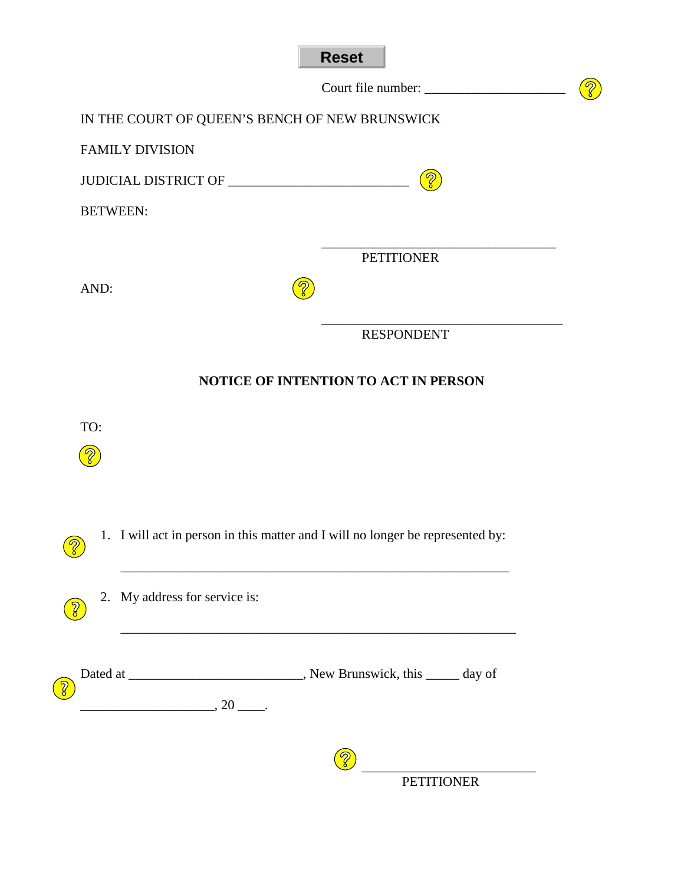| IN THE COURT OF QUEEN'S BENCH OF NEW BRUNSWICK           |                                                                                |
|----------------------------------------------------------|--------------------------------------------------------------------------------|
| <b>FAMILY DIVISION</b>                                   |                                                                                |
|                                                          | $\circ$                                                                        |
| <b>BETWEEN:</b>                                          |                                                                                |
|                                                          | <b>PETITIONER</b>                                                              |
| AND:                                                     |                                                                                |
|                                                          | <b>RESPONDENT</b>                                                              |
|                                                          |                                                                                |
|                                                          |                                                                                |
|                                                          | 1. I will act in person in this matter and I will no longer be represented by: |
| 2. My address for service is:                            |                                                                                |
| TO:                                                      |                                                                                |
| $\overline{\phantom{a}}$ , 20 $\overline{\phantom{a}}$ . |                                                                                |
|                                                          |                                                                                |